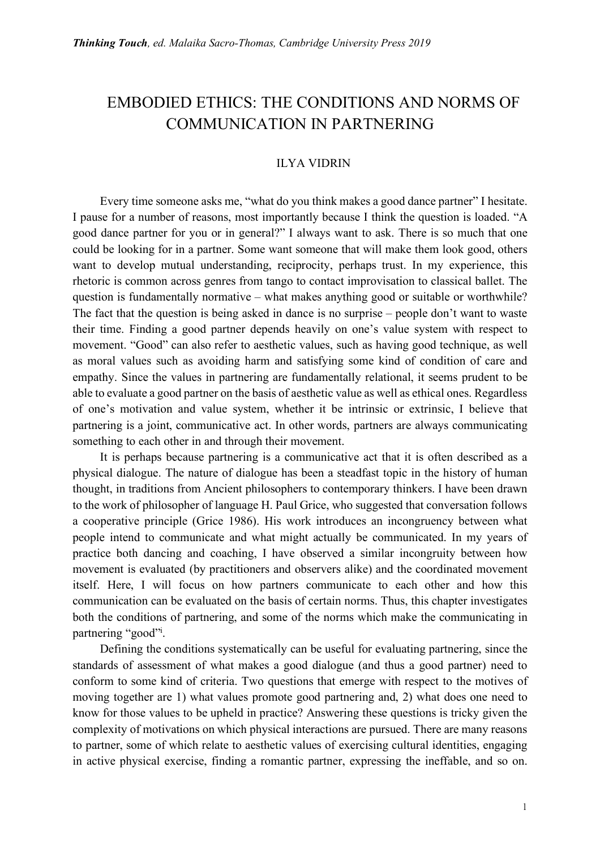# EMBODIED ETHICS: THE CONDITIONS AND NORMS OF COMMUNICATION IN PARTNERING

## ILYA VIDRIN

Every time someone asks me, "what do you think makes a good dance partner" I hesitate. I pause for a number of reasons, most importantly because I think the question is loaded. "A good dance partner for you or in general?" I always want to ask. There is so much that one could be looking for in a partner. Some want someone that will make them look good, others want to develop mutual understanding, reciprocity, perhaps trust. In my experience, this rhetoric is common across genres from tango to contact improvisation to classical ballet. The question is fundamentally normative – what makes anything good or suitable or worthwhile? The fact that the question is being asked in dance is no surprise – people don't want to waste their time. Finding a good partner depends heavily on one's value system with respect to movement. "Good" can also refer to aesthetic values, such as having good technique, as well as moral values such as avoiding harm and satisfying some kind of condition of care and empathy. Since the values in partnering are fundamentally relational, it seems prudent to be able to evaluate a good partner on the basis of aesthetic value as well as ethical ones. Regardless of one's motivation and value system, whether it be intrinsic or extrinsic, I believe that partnering is a joint, communicative act. In other words, partners are always communicating something to each other in and through their movement.

It is perhaps because partnering is a communicative act that it is often described as a physical dialogue. The nature of dialogue has been a steadfast topic in the history of human thought, in traditions from Ancient philosophers to contemporary thinkers. I have been drawn to the work of philosopher of language H. Paul Grice, who suggested that conversation follows a cooperative principle (Grice 1986). His work introduces an incongruency between what people intend to communicate and what might actually be communicated. In my years of practice both dancing and coaching, I have observed a similar incongruity between how movement is evaluated (by practitioners and observers alike) and the coordinated movement itself. Here, I will focus on how partners communicate to each other and how this communication can be evaluated on the basis of certain norms. Thus, this chapter investigates both the conditions of partnering, and some of the norms which make the communicating in partnering "good"<sup>i</sup>.

Defining the conditions systematically can be useful for evaluating partnering, since the standards of assessment of what makes a good dialogue (and thus a good partner) need to conform to some kind of criteria. Two questions that emerge with respect to the motives of moving together are 1) what values promote good partnering and, 2) what does one need to know for those values to be upheld in practice? Answering these questions is tricky given the complexity of motivations on which physical interactions are pursued. There are many reasons to partner, some of which relate to aesthetic values of exercising cultural identities, engaging in active physical exercise, finding a romantic partner, expressing the ineffable, and so on.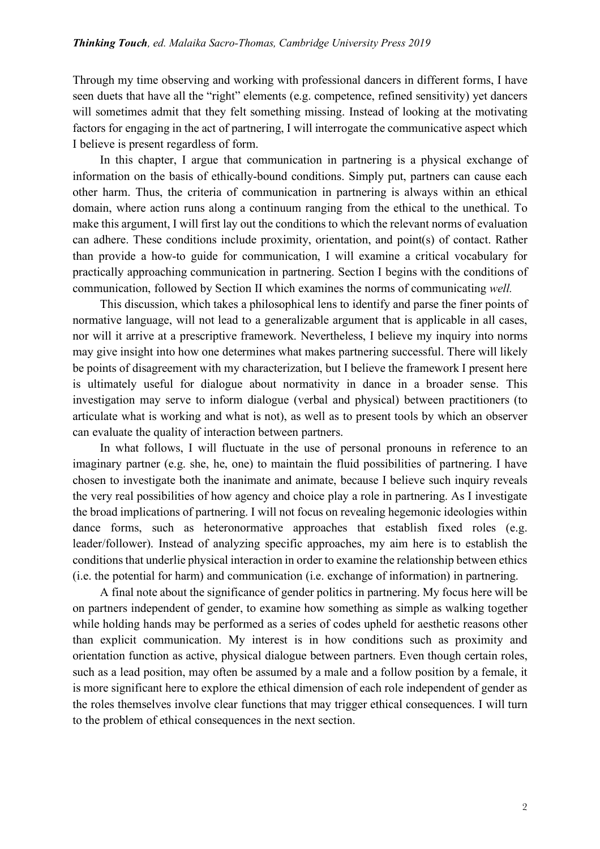Through my time observing and working with professional dancers in different forms, I have seen duets that have all the "right" elements (e.g. competence, refined sensitivity) yet dancers will sometimes admit that they felt something missing. Instead of looking at the motivating factors for engaging in the act of partnering, I will interrogate the communicative aspect which I believe is present regardless of form.

In this chapter, I argue that communication in partnering is a physical exchange of information on the basis of ethically-bound conditions. Simply put, partners can cause each other harm. Thus, the criteria of communication in partnering is always within an ethical domain, where action runs along a continuum ranging from the ethical to the unethical. To make this argument, I will first lay out the conditions to which the relevant norms of evaluation can adhere. These conditions include proximity, orientation, and point(s) of contact. Rather than provide a how-to guide for communication, I will examine a critical vocabulary for practically approaching communication in partnering. Section I begins with the conditions of communication, followed by Section II which examines the norms of communicating *well.*

This discussion, which takes a philosophical lens to identify and parse the finer points of normative language, will not lead to a generalizable argument that is applicable in all cases, nor will it arrive at a prescriptive framework. Nevertheless, I believe my inquiry into norms may give insight into how one determines what makes partnering successful. There will likely be points of disagreement with my characterization, but I believe the framework I present here is ultimately useful for dialogue about normativity in dance in a broader sense. This investigation may serve to inform dialogue (verbal and physical) between practitioners (to articulate what is working and what is not), as well as to present tools by which an observer can evaluate the quality of interaction between partners.

In what follows, I will fluctuate in the use of personal pronouns in reference to an imaginary partner (e.g. she, he, one) to maintain the fluid possibilities of partnering. I have chosen to investigate both the inanimate and animate, because I believe such inquiry reveals the very real possibilities of how agency and choice play a role in partnering. As I investigate the broad implications of partnering. I will not focus on revealing hegemonic ideologies within dance forms, such as heteronormative approaches that establish fixed roles (e.g. leader/follower). Instead of analyzing specific approaches, my aim here is to establish the conditions that underlie physical interaction in order to examine the relationship between ethics (i.e. the potential for harm) and communication (i.e. exchange of information) in partnering.

A final note about the significance of gender politics in partnering. My focus here will be on partners independent of gender, to examine how something as simple as walking together while holding hands may be performed as a series of codes upheld for aesthetic reasons other than explicit communication. My interest is in how conditions such as proximity and orientation function as active, physical dialogue between partners. Even though certain roles, such as a lead position, may often be assumed by a male and a follow position by a female, it is more significant here to explore the ethical dimension of each role independent of gender as the roles themselves involve clear functions that may trigger ethical consequences. I will turn to the problem of ethical consequences in the next section.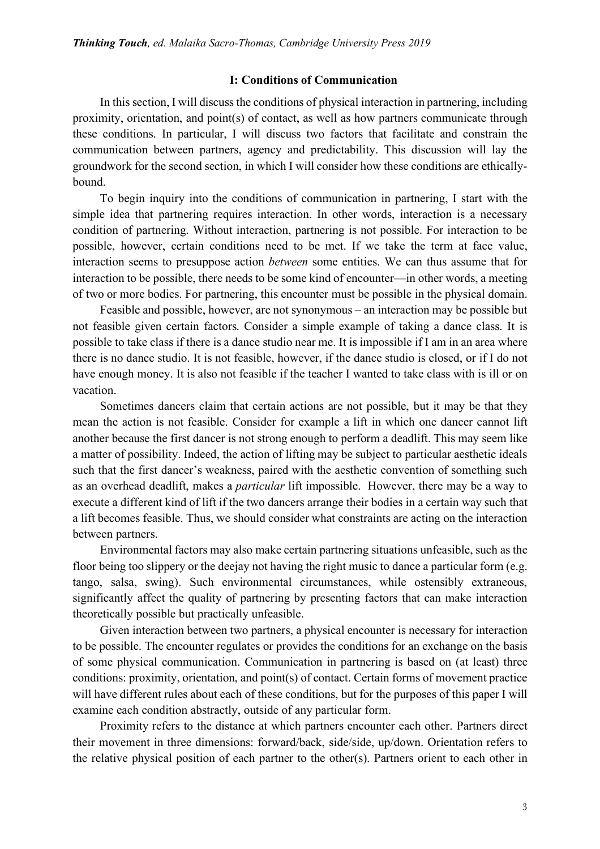### **I: Conditions of Communication**

In this section, I will discuss the conditions of physical interaction in partnering, including proximity, orientation, and point(s) of contact, as well as how partners communicate through these conditions. In particular, I will discuss two factors that facilitate and constrain the communication between partners, agency and predictability. This discussion will lay the groundwork for the second section, in which I will consider how these conditions are ethicallybound.

To begin inquiry into the conditions of communication in partnering, I start with the simple idea that partnering requires interaction. In other words, interaction is a necessary condition of partnering. Without interaction, partnering is not possible. For interaction to be possible, however, certain conditions need to be met. If we take the term at face value, interaction seems to presuppose action *between* some entities. We can thus assume that for interaction to be possible, there needs to be some kind of encounter—in other words, a meeting of two or more bodies. For partnering, this encounter must be possible in the physical domain.

Feasible and possible, however, are not synonymous – an interaction may be possible but not feasible given certain factors. Consider a simple example of taking a dance class. It is possible to take class if there is a dance studio near me. It is impossible if I am in an area where there is no dance studio. It is not feasible, however, if the dance studio is closed, or if I do not have enough money. It is also not feasible if the teacher I wanted to take class with is ill or on vacation.

Sometimes dancers claim that certain actions are not possible, but it may be that they mean the action is not feasible. Consider for example a lift in which one dancer cannot lift another because the first dancer is not strong enough to perform a deadlift. This may seem like a matter of possibility. Indeed, the action of lifting may be subject to particular aesthetic ideals such that the first dancer's weakness, paired with the aesthetic convention of something such as an overhead deadlift, makes a *particular* lift impossible. However, there may be a way to execute a different kind of lift if the two dancers arrange their bodies in a certain way such that a lift becomes feasible. Thus, we should consider what constraints are acting on the interaction between partners.

Environmental factors may also make certain partnering situations unfeasible, such as the floor being too slippery or the deejay not having the right music to dance a particular form (e.g. tango, salsa, swing). Such environmental circumstances, while ostensibly extraneous, significantly affect the quality of partnering by presenting factors that can make interaction theoretically possible but practically unfeasible.

Given interaction between two partners, a physical encounter is necessary for interaction to be possible. The encounter regulates or provides the conditions for an exchange on the basis of some physical communication. Communication in partnering is based on (at least) three conditions: proximity, orientation, and point(s) of contact. Certain forms of movement practice will have different rules about each of these conditions, but for the purposes of this paper I will examine each condition abstractly, outside of any particular form.

Proximity refers to the distance at which partners encounter each other. Partners direct their movement in three dimensions: forward/back, side/side, up/down. Orientation refers to the relative physical position of each partner to the other(s). Partners orient to each other in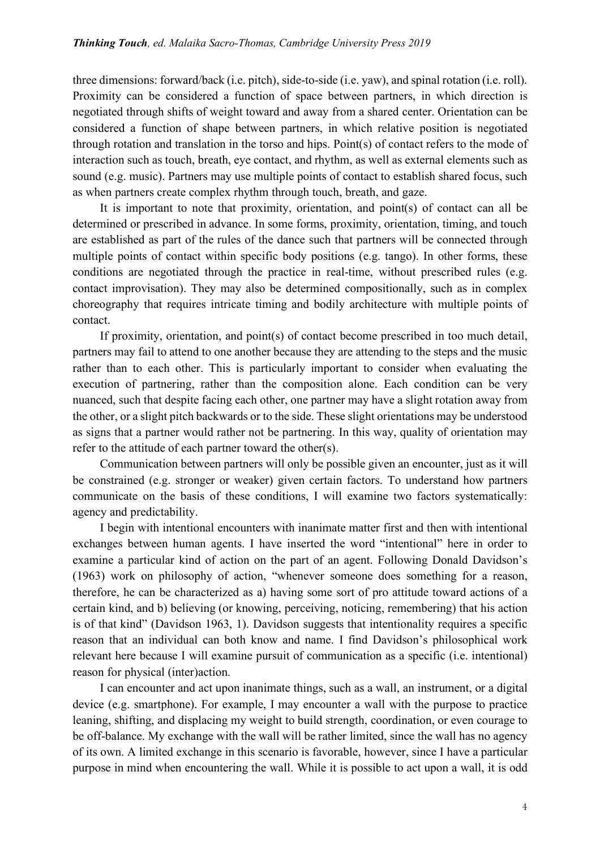three dimensions: forward/back (i.e. pitch), side-to-side (i.e. yaw), and spinal rotation (i.e. roll). Proximity can be considered a function of space between partners, in which direction is negotiated through shifts of weight toward and away from a shared center. Orientation can be considered a function of shape between partners, in which relative position is negotiated through rotation and translation in the torso and hips. Point(s) of contact refers to the mode of interaction such as touch, breath, eye contact, and rhythm, as well as external elements such as sound (e.g. music). Partners may use multiple points of contact to establish shared focus, such as when partners create complex rhythm through touch, breath, and gaze.

It is important to note that proximity, orientation, and point(s) of contact can all be determined or prescribed in advance. In some forms, proximity, orientation, timing, and touch are established as part of the rules of the dance such that partners will be connected through multiple points of contact within specific body positions (e.g. tango). In other forms, these conditions are negotiated through the practice in real-time, without prescribed rules (e.g. contact improvisation). They may also be determined compositionally, such as in complex choreography that requires intricate timing and bodily architecture with multiple points of contact.

If proximity, orientation, and point(s) of contact become prescribed in too much detail, partners may fail to attend to one another because they are attending to the steps and the music rather than to each other. This is particularly important to consider when evaluating the execution of partnering, rather than the composition alone. Each condition can be very nuanced, such that despite facing each other, one partner may have a slight rotation away from the other, or a slight pitch backwards or to the side. These slight orientations may be understood as signs that a partner would rather not be partnering. In this way, quality of orientation may refer to the attitude of each partner toward the other(s).

Communication between partners will only be possible given an encounter, just as it will be constrained (e.g. stronger or weaker) given certain factors. To understand how partners communicate on the basis of these conditions, I will examine two factors systematically: agency and predictability.

I begin with intentional encounters with inanimate matter first and then with intentional exchanges between human agents. I have inserted the word "intentional" here in order to examine a particular kind of action on the part of an agent. Following Donald Davidson's (1963) work on philosophy of action, "whenever someone does something for a reason, therefore, he can be characterized as a) having some sort of pro attitude toward actions of a certain kind, and b) believing (or knowing, perceiving, noticing, remembering) that his action is of that kind" (Davidson 1963, 1). Davidson suggests that intentionality requires a specific reason that an individual can both know and name. I find Davidson's philosophical work relevant here because I will examine pursuit of communication as a specific (i.e. intentional) reason for physical (inter)action.

I can encounter and act upon inanimate things, such as a wall, an instrument, or a digital device (e.g. smartphone). For example, I may encounter a wall with the purpose to practice leaning, shifting, and displacing my weight to build strength, coordination, or even courage to be off-balance. My exchange with the wall will be rather limited, since the wall has no agency of its own. A limited exchange in this scenario is favorable, however, since I have a particular purpose in mind when encountering the wall. While it is possible to act upon a wall, it is odd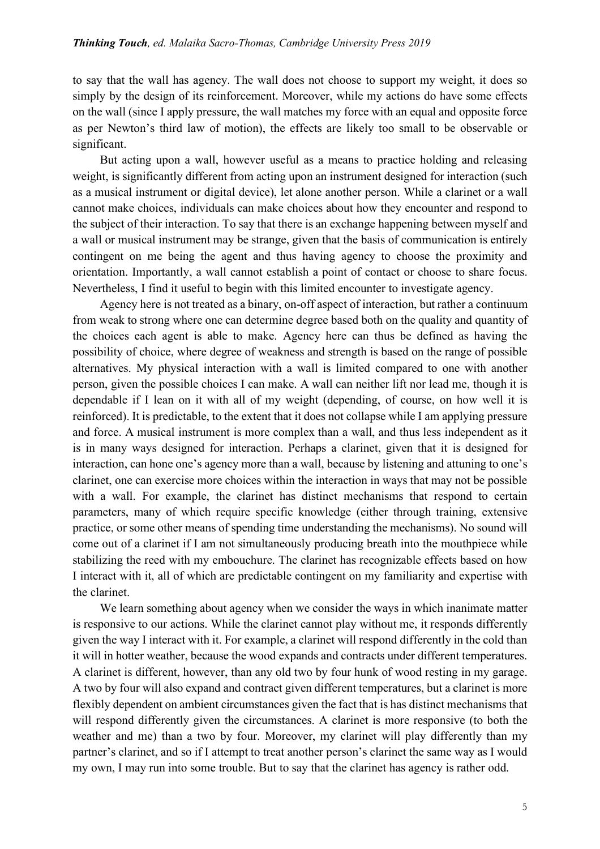to say that the wall has agency. The wall does not choose to support my weight, it does so simply by the design of its reinforcement. Moreover, while my actions do have some effects on the wall (since I apply pressure, the wall matches my force with an equal and opposite force as per Newton's third law of motion), the effects are likely too small to be observable or significant.

But acting upon a wall, however useful as a means to practice holding and releasing weight, is significantly different from acting upon an instrument designed for interaction (such as a musical instrument or digital device), let alone another person. While a clarinet or a wall cannot make choices, individuals can make choices about how they encounter and respond to the subject of their interaction. To say that there is an exchange happening between myself and a wall or musical instrument may be strange, given that the basis of communication is entirely contingent on me being the agent and thus having agency to choose the proximity and orientation. Importantly, a wall cannot establish a point of contact or choose to share focus. Nevertheless, I find it useful to begin with this limited encounter to investigate agency.

Agency here is not treated as a binary, on-off aspect of interaction, but rather a continuum from weak to strong where one can determine degree based both on the quality and quantity of the choices each agent is able to make. Agency here can thus be defined as having the possibility of choice, where degree of weakness and strength is based on the range of possible alternatives. My physical interaction with a wall is limited compared to one with another person, given the possible choices I can make. A wall can neither lift nor lead me, though it is dependable if I lean on it with all of my weight (depending, of course, on how well it is reinforced). It is predictable, to the extent that it does not collapse while I am applying pressure and force. A musical instrument is more complex than a wall, and thus less independent as it is in many ways designed for interaction. Perhaps a clarinet, given that it is designed for interaction, can hone one's agency more than a wall, because by listening and attuning to one's clarinet, one can exercise more choices within the interaction in ways that may not be possible with a wall. For example, the clarinet has distinct mechanisms that respond to certain parameters, many of which require specific knowledge (either through training, extensive practice, or some other means of spending time understanding the mechanisms). No sound will come out of a clarinet if I am not simultaneously producing breath into the mouthpiece while stabilizing the reed with my embouchure. The clarinet has recognizable effects based on how I interact with it, all of which are predictable contingent on my familiarity and expertise with the clarinet.

We learn something about agency when we consider the ways in which inanimate matter is responsive to our actions. While the clarinet cannot play without me, it responds differently given the way I interact with it. For example, a clarinet will respond differently in the cold than it will in hotter weather, because the wood expands and contracts under different temperatures. A clarinet is different, however, than any old two by four hunk of wood resting in my garage. A two by four will also expand and contract given different temperatures, but a clarinet is more flexibly dependent on ambient circumstances given the fact that is has distinct mechanisms that will respond differently given the circumstances. A clarinet is more responsive (to both the weather and me) than a two by four. Moreover, my clarinet will play differently than my partner's clarinet, and so if I attempt to treat another person's clarinet the same way as I would my own, I may run into some trouble. But to say that the clarinet has agency is rather odd.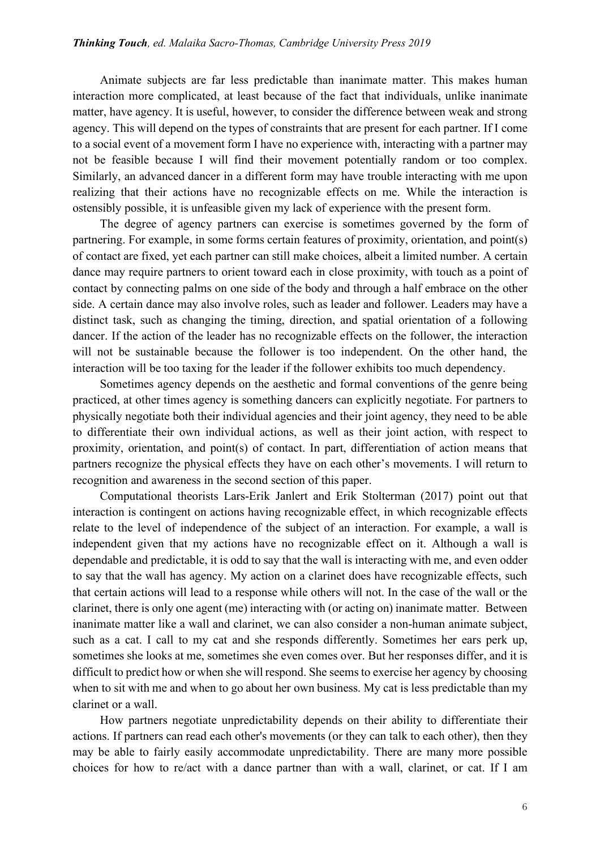Animate subjects are far less predictable than inanimate matter. This makes human interaction more complicated, at least because of the fact that individuals, unlike inanimate matter, have agency. It is useful, however, to consider the difference between weak and strong agency. This will depend on the types of constraints that are present for each partner. If I come to a social event of a movement form I have no experience with, interacting with a partner may not be feasible because I will find their movement potentially random or too complex. Similarly, an advanced dancer in a different form may have trouble interacting with me upon realizing that their actions have no recognizable effects on me. While the interaction is ostensibly possible, it is unfeasible given my lack of experience with the present form.

The degree of agency partners can exercise is sometimes governed by the form of partnering. For example, in some forms certain features of proximity, orientation, and point(s) of contact are fixed, yet each partner can still make choices, albeit a limited number. A certain dance may require partners to orient toward each in close proximity, with touch as a point of contact by connecting palms on one side of the body and through a half embrace on the other side. A certain dance may also involve roles, such as leader and follower. Leaders may have a distinct task, such as changing the timing, direction, and spatial orientation of a following dancer. If the action of the leader has no recognizable effects on the follower, the interaction will not be sustainable because the follower is too independent. On the other hand, the interaction will be too taxing for the leader if the follower exhibits too much dependency.

Sometimes agency depends on the aesthetic and formal conventions of the genre being practiced, at other times agency is something dancers can explicitly negotiate. For partners to physically negotiate both their individual agencies and their joint agency, they need to be able to differentiate their own individual actions, as well as their joint action, with respect to proximity, orientation, and point(s) of contact. In part, differentiation of action means that partners recognize the physical effects they have on each other's movements. I will return to recognition and awareness in the second section of this paper.

Computational theorists Lars-Erik Janlert and Erik Stolterman (2017) point out that interaction is contingent on actions having recognizable effect, in which recognizable effects relate to the level of independence of the subject of an interaction. For example, a wall is independent given that my actions have no recognizable effect on it. Although a wall is dependable and predictable, it is odd to say that the wall is interacting with me, and even odder to say that the wall has agency. My action on a clarinet does have recognizable effects, such that certain actions will lead to a response while others will not. In the case of the wall or the clarinet, there is only one agent (me) interacting with (or acting on) inanimate matter. Between inanimate matter like a wall and clarinet, we can also consider a non-human animate subject, such as a cat. I call to my cat and she responds differently. Sometimes her ears perk up, sometimes she looks at me, sometimes she even comes over. But her responses differ, and it is difficult to predict how or when she will respond. She seems to exercise her agency by choosing when to sit with me and when to go about her own business. My cat is less predictable than my clarinet or a wall.

How partners negotiate unpredictability depends on their ability to differentiate their actions. If partners can read each other's movements (or they can talk to each other), then they may be able to fairly easily accommodate unpredictability. There are many more possible choices for how to re/act with a dance partner than with a wall, clarinet, or cat. If I am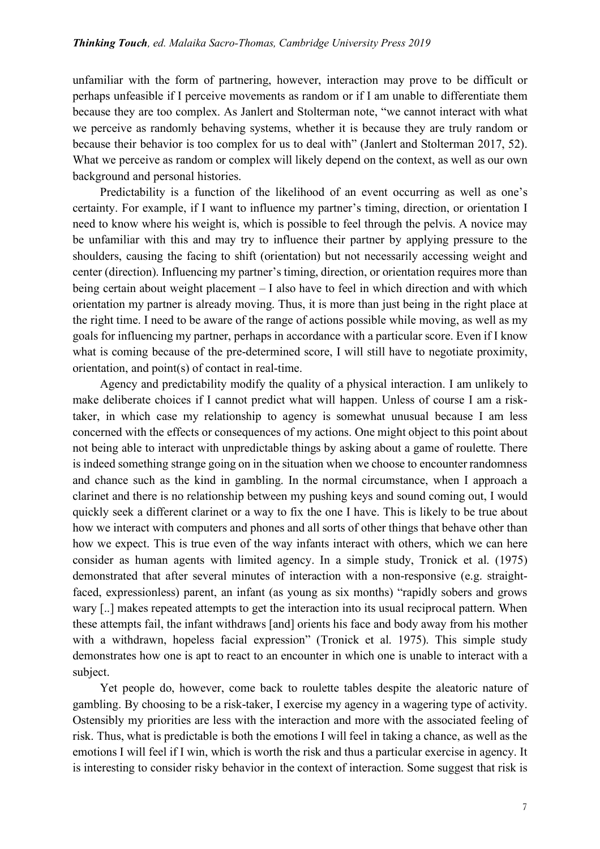unfamiliar with the form of partnering, however, interaction may prove to be difficult or perhaps unfeasible if I perceive movements as random or if I am unable to differentiate them because they are too complex. As Janlert and Stolterman note, "we cannot interact with what we perceive as randomly behaving systems, whether it is because they are truly random or because their behavior is too complex for us to deal with" (Janlert and Stolterman 2017, 52). What we perceive as random or complex will likely depend on the context, as well as our own background and personal histories.

Predictability is a function of the likelihood of an event occurring as well as one's certainty. For example, if I want to influence my partner's timing, direction, or orientation I need to know where his weight is, which is possible to feel through the pelvis. A novice may be unfamiliar with this and may try to influence their partner by applying pressure to the shoulders, causing the facing to shift (orientation) but not necessarily accessing weight and center (direction). Influencing my partner's timing, direction, or orientation requires more than being certain about weight placement – I also have to feel in which direction and with which orientation my partner is already moving. Thus, it is more than just being in the right place at the right time. I need to be aware of the range of actions possible while moving, as well as my goals for influencing my partner, perhaps in accordance with a particular score. Even if I know what is coming because of the pre-determined score, I will still have to negotiate proximity, orientation, and point(s) of contact in real-time.

Agency and predictability modify the quality of a physical interaction. I am unlikely to make deliberate choices if I cannot predict what will happen. Unless of course I am a risktaker, in which case my relationship to agency is somewhat unusual because I am less concerned with the effects or consequences of my actions. One might object to this point about not being able to interact with unpredictable things by asking about a game of roulette. There is indeed something strange going on in the situation when we choose to encounter randomness and chance such as the kind in gambling. In the normal circumstance, when I approach a clarinet and there is no relationship between my pushing keys and sound coming out, I would quickly seek a different clarinet or a way to fix the one I have. This is likely to be true about how we interact with computers and phones and all sorts of other things that behave other than how we expect. This is true even of the way infants interact with others, which we can here consider as human agents with limited agency. In a simple study, Tronick et al. (1975) demonstrated that after several minutes of interaction with a non-responsive (e.g. straightfaced, expressionless) parent, an infant (as young as six months) "rapidly sobers and grows wary [..] makes repeated attempts to get the interaction into its usual reciprocal pattern. When these attempts fail, the infant withdraws [and] orients his face and body away from his mother with a withdrawn, hopeless facial expression" (Tronick et al. 1975). This simple study demonstrates how one is apt to react to an encounter in which one is unable to interact with a subject.

Yet people do, however, come back to roulette tables despite the aleatoric nature of gambling. By choosing to be a risk-taker, I exercise my agency in a wagering type of activity. Ostensibly my priorities are less with the interaction and more with the associated feeling of risk. Thus, what is predictable is both the emotions I will feel in taking a chance, as well as the emotions I will feel if I win, which is worth the risk and thus a particular exercise in agency. It is interesting to consider risky behavior in the context of interaction. Some suggest that risk is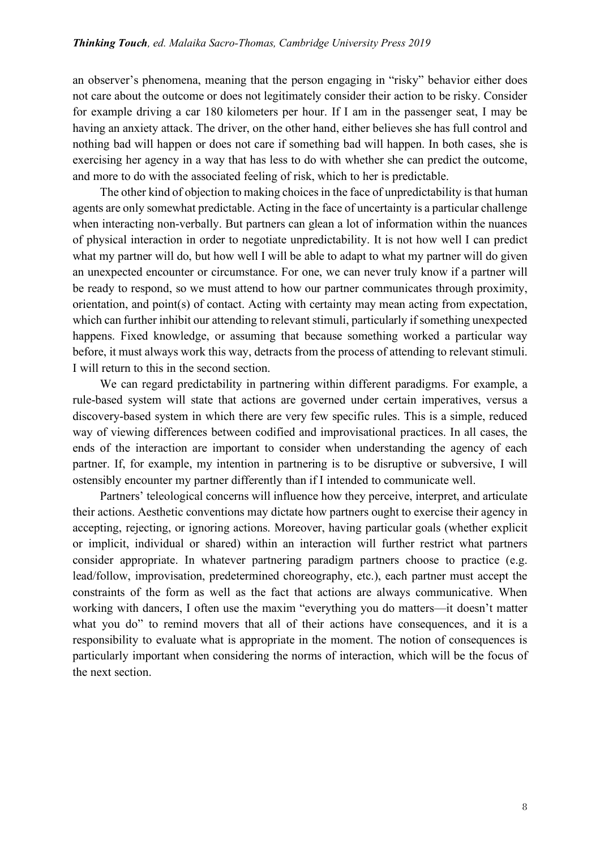an observer's phenomena, meaning that the person engaging in "risky" behavior either does not care about the outcome or does not legitimately consider their action to be risky. Consider for example driving a car 180 kilometers per hour. If I am in the passenger seat, I may be having an anxiety attack. The driver, on the other hand, either believes she has full control and nothing bad will happen or does not care if something bad will happen. In both cases, she is exercising her agency in a way that has less to do with whether she can predict the outcome, and more to do with the associated feeling of risk, which to her is predictable.

The other kind of objection to making choices in the face of unpredictability is that human agents are only somewhat predictable. Acting in the face of uncertainty is a particular challenge when interacting non-verbally. But partners can glean a lot of information within the nuances of physical interaction in order to negotiate unpredictability. It is not how well I can predict what my partner will do, but how well I will be able to adapt to what my partner will do given an unexpected encounter or circumstance. For one, we can never truly know if a partner will be ready to respond, so we must attend to how our partner communicates through proximity, orientation, and point(s) of contact. Acting with certainty may mean acting from expectation, which can further inhibit our attending to relevant stimuli, particularly if something unexpected happens. Fixed knowledge, or assuming that because something worked a particular way before, it must always work this way, detracts from the process of attending to relevant stimuli. I will return to this in the second section.

We can regard predictability in partnering within different paradigms. For example, a rule-based system will state that actions are governed under certain imperatives, versus a discovery-based system in which there are very few specific rules. This is a simple, reduced way of viewing differences between codified and improvisational practices. In all cases, the ends of the interaction are important to consider when understanding the agency of each partner. If, for example, my intention in partnering is to be disruptive or subversive, I will ostensibly encounter my partner differently than if I intended to communicate well.

Partners' teleological concerns will influence how they perceive, interpret, and articulate their actions. Aesthetic conventions may dictate how partners ought to exercise their agency in accepting, rejecting, or ignoring actions. Moreover, having particular goals (whether explicit or implicit, individual or shared) within an interaction will further restrict what partners consider appropriate. In whatever partnering paradigm partners choose to practice (e.g. lead/follow, improvisation, predetermined choreography, etc.), each partner must accept the constraints of the form as well as the fact that actions are always communicative. When working with dancers, I often use the maxim "everything you do matters—it doesn't matter what you do" to remind movers that all of their actions have consequences, and it is a responsibility to evaluate what is appropriate in the moment. The notion of consequences is particularly important when considering the norms of interaction, which will be the focus of the next section.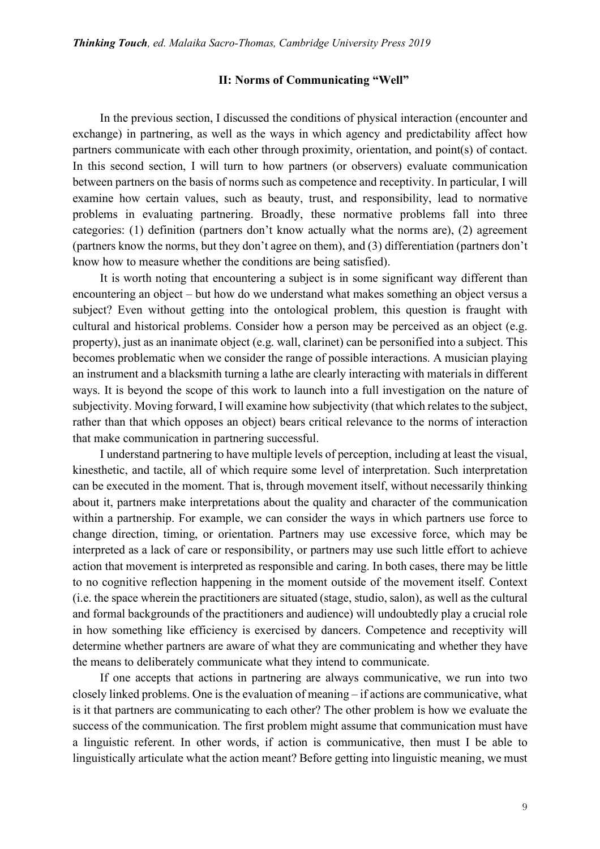## **II: Norms of Communicating "Well"**

In the previous section, I discussed the conditions of physical interaction (encounter and exchange) in partnering, as well as the ways in which agency and predictability affect how partners communicate with each other through proximity, orientation, and point(s) of contact. In this second section, I will turn to how partners (or observers) evaluate communication between partners on the basis of norms such as competence and receptivity. In particular, I will examine how certain values, such as beauty, trust, and responsibility, lead to normative problems in evaluating partnering. Broadly, these normative problems fall into three categories: (1) definition (partners don't know actually what the norms are), (2) agreement (partners know the norms, but they don't agree on them), and (3) differentiation (partners don't know how to measure whether the conditions are being satisfied).

It is worth noting that encountering a subject is in some significant way different than encountering an object – but how do we understand what makes something an object versus a subject? Even without getting into the ontological problem, this question is fraught with cultural and historical problems. Consider how a person may be perceived as an object (e.g. property), just as an inanimate object (e.g. wall, clarinet) can be personified into a subject. This becomes problematic when we consider the range of possible interactions. A musician playing an instrument and a blacksmith turning a lathe are clearly interacting with materials in different ways. It is beyond the scope of this work to launch into a full investigation on the nature of subjectivity. Moving forward, I will examine how subjectivity (that which relates to the subject, rather than that which opposes an object) bears critical relevance to the norms of interaction that make communication in partnering successful.

I understand partnering to have multiple levels of perception, including at least the visual, kinesthetic, and tactile, all of which require some level of interpretation. Such interpretation can be executed in the moment. That is, through movement itself, without necessarily thinking about it, partners make interpretations about the quality and character of the communication within a partnership. For example, we can consider the ways in which partners use force to change direction, timing, or orientation. Partners may use excessive force, which may be interpreted as a lack of care or responsibility, or partners may use such little effort to achieve action that movement is interpreted as responsible and caring. In both cases, there may be little to no cognitive reflection happening in the moment outside of the movement itself. Context (i.e. the space wherein the practitioners are situated (stage, studio, salon), as well as the cultural and formal backgrounds of the practitioners and audience) will undoubtedly play a crucial role in how something like efficiency is exercised by dancers. Competence and receptivity will determine whether partners are aware of what they are communicating and whether they have the means to deliberately communicate what they intend to communicate.

If one accepts that actions in partnering are always communicative, we run into two closely linked problems. One is the evaluation of meaning – if actions are communicative, what is it that partners are communicating to each other? The other problem is how we evaluate the success of the communication. The first problem might assume that communication must have a linguistic referent. In other words, if action is communicative, then must I be able to linguistically articulate what the action meant? Before getting into linguistic meaning, we must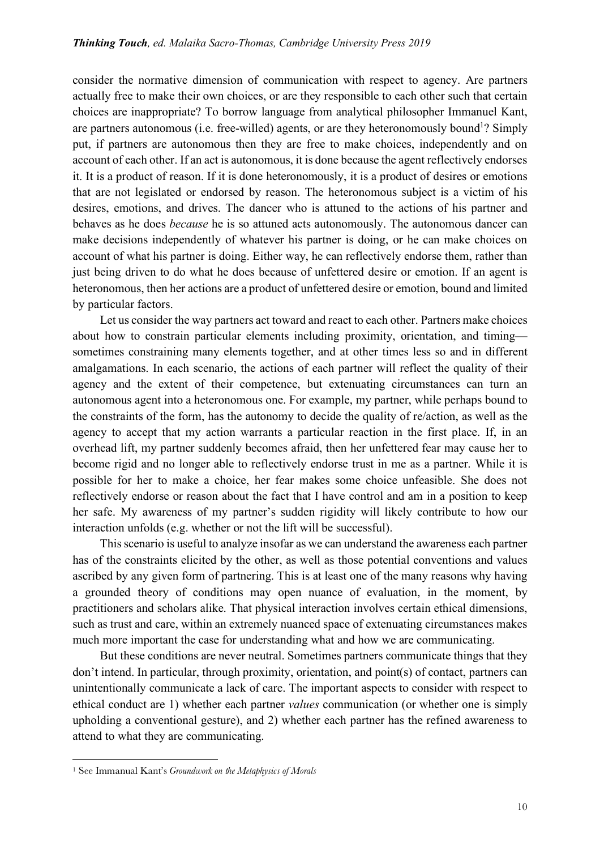consider the normative dimension of communication with respect to agency. Are partners actually free to make their own choices, or are they responsible to each other such that certain choices are inappropriate? To borrow language from analytical philosopher Immanuel Kant, are partners autonomous (i.e. free-willed) agents, or are they heteronomously bound<sup>1</sup>? Simply put, if partners are autonomous then they are free to make choices, independently and on account of each other. If an act is autonomous, it is done because the agent reflectively endorses it. It is a product of reason. If it is done heteronomously, it is a product of desires or emotions that are not legislated or endorsed by reason. The heteronomous subject is a victim of his desires, emotions, and drives. The dancer who is attuned to the actions of his partner and behaves as he does *because* he is so attuned acts autonomously. The autonomous dancer can make decisions independently of whatever his partner is doing, or he can make choices on account of what his partner is doing. Either way, he can reflectively endorse them, rather than just being driven to do what he does because of unfettered desire or emotion. If an agent is heteronomous, then her actions are a product of unfettered desire or emotion, bound and limited by particular factors.

Let us consider the way partners act toward and react to each other. Partners make choices about how to constrain particular elements including proximity, orientation, and timing sometimes constraining many elements together, and at other times less so and in different amalgamations. In each scenario, the actions of each partner will reflect the quality of their agency and the extent of their competence, but extenuating circumstances can turn an autonomous agent into a heteronomous one. For example, my partner, while perhaps bound to the constraints of the form, has the autonomy to decide the quality of re/action, as well as the agency to accept that my action warrants a particular reaction in the first place. If, in an overhead lift, my partner suddenly becomes afraid, then her unfettered fear may cause her to become rigid and no longer able to reflectively endorse trust in me as a partner. While it is possible for her to make a choice, her fear makes some choice unfeasible. She does not reflectively endorse or reason about the fact that I have control and am in a position to keep her safe. My awareness of my partner's sudden rigidity will likely contribute to how our interaction unfolds (e.g. whether or not the lift will be successful).

This scenario is useful to analyze insofar as we can understand the awareness each partner has of the constraints elicited by the other, as well as those potential conventions and values ascribed by any given form of partnering. This is at least one of the many reasons why having a grounded theory of conditions may open nuance of evaluation, in the moment, by practitioners and scholars alike. That physical interaction involves certain ethical dimensions, such as trust and care, within an extremely nuanced space of extenuating circumstances makes much more important the case for understanding what and how we are communicating.

But these conditions are never neutral. Sometimes partners communicate things that they don't intend. In particular, through proximity, orientation, and point(s) of contact, partners can unintentionally communicate a lack of care. The important aspects to consider with respect to ethical conduct are 1) whether each partner *values* communication (or whether one is simply upholding a conventional gesture), and 2) whether each partner has the refined awareness to attend to what they are communicating.

 $\overline{a}$ 

<sup>1</sup> See Immanual Kant's *Groundwork on the Metaphysics of Morals*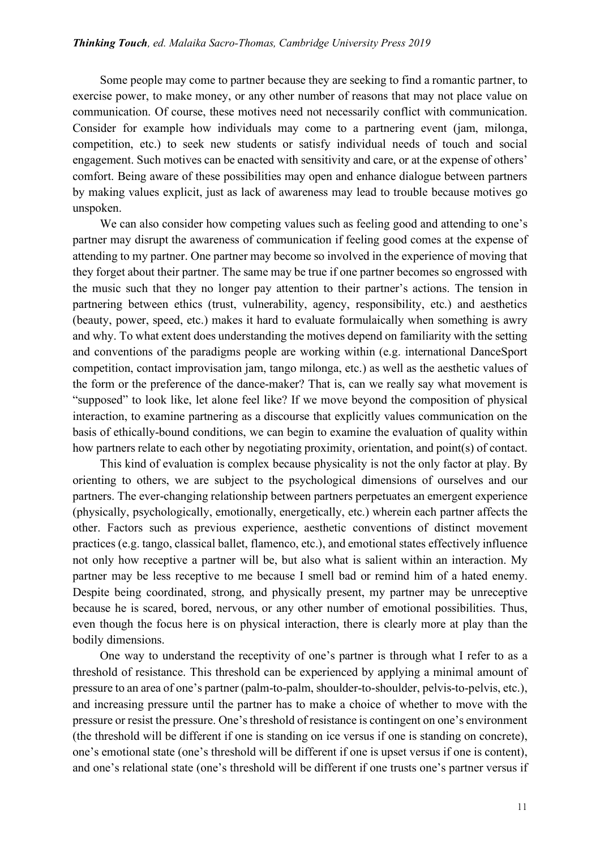Some people may come to partner because they are seeking to find a romantic partner, to exercise power, to make money, or any other number of reasons that may not place value on communication. Of course, these motives need not necessarily conflict with communication. Consider for example how individuals may come to a partnering event (jam, milonga, competition, etc.) to seek new students or satisfy individual needs of touch and social engagement. Such motives can be enacted with sensitivity and care, or at the expense of others' comfort. Being aware of these possibilities may open and enhance dialogue between partners by making values explicit, just as lack of awareness may lead to trouble because motives go unspoken.

We can also consider how competing values such as feeling good and attending to one's partner may disrupt the awareness of communication if feeling good comes at the expense of attending to my partner. One partner may become so involved in the experience of moving that they forget about their partner. The same may be true if one partner becomes so engrossed with the music such that they no longer pay attention to their partner's actions. The tension in partnering between ethics (trust, vulnerability, agency, responsibility, etc.) and aesthetics (beauty, power, speed, etc.) makes it hard to evaluate formulaically when something is awry and why. To what extent does understanding the motives depend on familiarity with the setting and conventions of the paradigms people are working within (e.g. international DanceSport competition, contact improvisation jam, tango milonga, etc.) as well as the aesthetic values of the form or the preference of the dance-maker? That is, can we really say what movement is "supposed" to look like, let alone feel like? If we move beyond the composition of physical interaction, to examine partnering as a discourse that explicitly values communication on the basis of ethically-bound conditions, we can begin to examine the evaluation of quality within how partners relate to each other by negotiating proximity, orientation, and point(s) of contact.

This kind of evaluation is complex because physicality is not the only factor at play. By orienting to others, we are subject to the psychological dimensions of ourselves and our partners. The ever-changing relationship between partners perpetuates an emergent experience (physically, psychologically, emotionally, energetically, etc.) wherein each partner affects the other. Factors such as previous experience, aesthetic conventions of distinct movement practices (e.g. tango, classical ballet, flamenco, etc.), and emotional states effectively influence not only how receptive a partner will be, but also what is salient within an interaction. My partner may be less receptive to me because I smell bad or remind him of a hated enemy. Despite being coordinated, strong, and physically present, my partner may be unreceptive because he is scared, bored, nervous, or any other number of emotional possibilities. Thus, even though the focus here is on physical interaction, there is clearly more at play than the bodily dimensions.

One way to understand the receptivity of one's partner is through what I refer to as a threshold of resistance. This threshold can be experienced by applying a minimal amount of pressure to an area of one's partner (palm-to-palm, shoulder-to-shoulder, pelvis-to-pelvis, etc.), and increasing pressure until the partner has to make a choice of whether to move with the pressure or resist the pressure. One's threshold of resistance is contingent on one's environment (the threshold will be different if one is standing on ice versus if one is standing on concrete), one's emotional state (one's threshold will be different if one is upset versus if one is content), and one's relational state (one's threshold will be different if one trusts one's partner versus if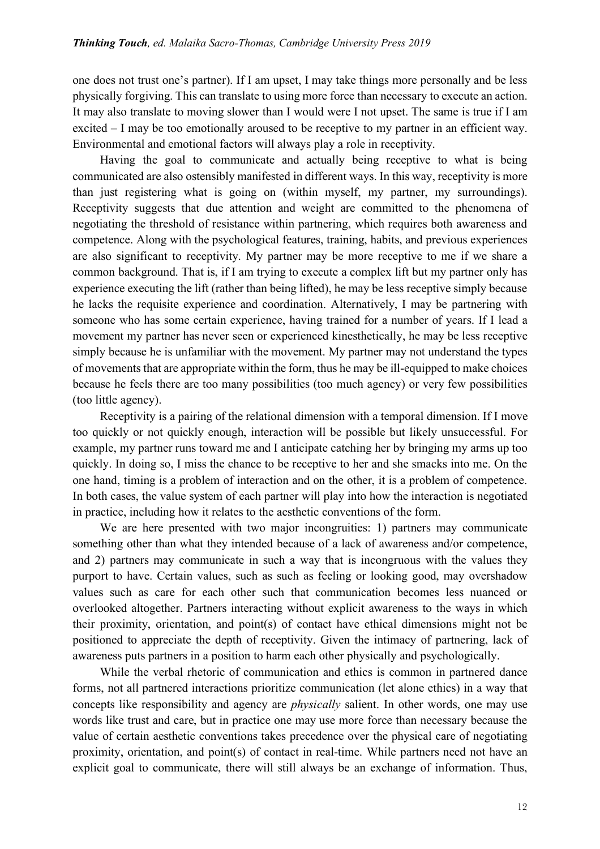one does not trust one's partner). If I am upset, I may take things more personally and be less physically forgiving. This can translate to using more force than necessary to execute an action. It may also translate to moving slower than I would were I not upset. The same is true if I am excited – I may be too emotionally aroused to be receptive to my partner in an efficient way. Environmental and emotional factors will always play a role in receptivity.

Having the goal to communicate and actually being receptive to what is being communicated are also ostensibly manifested in different ways. In this way, receptivity is more than just registering what is going on (within myself, my partner, my surroundings). Receptivity suggests that due attention and weight are committed to the phenomena of negotiating the threshold of resistance within partnering, which requires both awareness and competence. Along with the psychological features, training, habits, and previous experiences are also significant to receptivity. My partner may be more receptive to me if we share a common background. That is, if I am trying to execute a complex lift but my partner only has experience executing the lift (rather than being lifted), he may be less receptive simply because he lacks the requisite experience and coordination. Alternatively, I may be partnering with someone who has some certain experience, having trained for a number of years. If I lead a movement my partner has never seen or experienced kinesthetically, he may be less receptive simply because he is unfamiliar with the movement. My partner may not understand the types of movements that are appropriate within the form, thus he may be ill-equipped to make choices because he feels there are too many possibilities (too much agency) or very few possibilities (too little agency).

Receptivity is a pairing of the relational dimension with a temporal dimension. If I move too quickly or not quickly enough, interaction will be possible but likely unsuccessful. For example, my partner runs toward me and I anticipate catching her by bringing my arms up too quickly. In doing so, I miss the chance to be receptive to her and she smacks into me. On the one hand, timing is a problem of interaction and on the other, it is a problem of competence. In both cases, the value system of each partner will play into how the interaction is negotiated in practice, including how it relates to the aesthetic conventions of the form.

We are here presented with two major incongruities: 1) partners may communicate something other than what they intended because of a lack of awareness and/or competence, and 2) partners may communicate in such a way that is incongruous with the values they purport to have. Certain values, such as such as feeling or looking good, may overshadow values such as care for each other such that communication becomes less nuanced or overlooked altogether. Partners interacting without explicit awareness to the ways in which their proximity, orientation, and point(s) of contact have ethical dimensions might not be positioned to appreciate the depth of receptivity. Given the intimacy of partnering, lack of awareness puts partners in a position to harm each other physically and psychologically.

While the verbal rhetoric of communication and ethics is common in partnered dance forms, not all partnered interactions prioritize communication (let alone ethics) in a way that concepts like responsibility and agency are *physically* salient. In other words, one may use words like trust and care, but in practice one may use more force than necessary because the value of certain aesthetic conventions takes precedence over the physical care of negotiating proximity, orientation, and point(s) of contact in real-time. While partners need not have an explicit goal to communicate, there will still always be an exchange of information. Thus,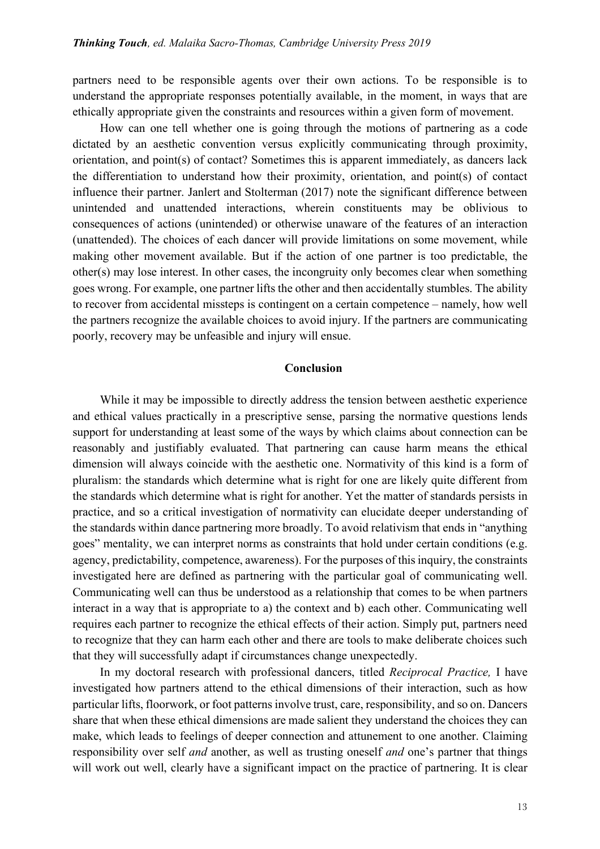partners need to be responsible agents over their own actions. To be responsible is to understand the appropriate responses potentially available, in the moment, in ways that are ethically appropriate given the constraints and resources within a given form of movement.

How can one tell whether one is going through the motions of partnering as a code dictated by an aesthetic convention versus explicitly communicating through proximity, orientation, and point(s) of contact? Sometimes this is apparent immediately, as dancers lack the differentiation to understand how their proximity, orientation, and point(s) of contact influence their partner. Janlert and Stolterman (2017) note the significant difference between unintended and unattended interactions, wherein constituents may be oblivious to consequences of actions (unintended) or otherwise unaware of the features of an interaction (unattended). The choices of each dancer will provide limitations on some movement, while making other movement available. But if the action of one partner is too predictable, the other(s) may lose interest. In other cases, the incongruity only becomes clear when something goes wrong. For example, one partner lifts the other and then accidentally stumbles. The ability to recover from accidental missteps is contingent on a certain competence – namely, how well the partners recognize the available choices to avoid injury. If the partners are communicating poorly, recovery may be unfeasible and injury will ensue.

#### **Conclusion**

While it may be impossible to directly address the tension between aesthetic experience and ethical values practically in a prescriptive sense, parsing the normative questions lends support for understanding at least some of the ways by which claims about connection can be reasonably and justifiably evaluated. That partnering can cause harm means the ethical dimension will always coincide with the aesthetic one. Normativity of this kind is a form of pluralism: the standards which determine what is right for one are likely quite different from the standards which determine what is right for another. Yet the matter of standards persists in practice, and so a critical investigation of normativity can elucidate deeper understanding of the standards within dance partnering more broadly. To avoid relativism that ends in "anything goes" mentality, we can interpret norms as constraints that hold under certain conditions (e.g. agency, predictability, competence, awareness). For the purposes of this inquiry, the constraints investigated here are defined as partnering with the particular goal of communicating well. Communicating well can thus be understood as a relationship that comes to be when partners interact in a way that is appropriate to a) the context and b) each other. Communicating well requires each partner to recognize the ethical effects of their action. Simply put, partners need to recognize that they can harm each other and there are tools to make deliberate choices such that they will successfully adapt if circumstances change unexpectedly.

In my doctoral research with professional dancers, titled *Reciprocal Practice,* I have investigated how partners attend to the ethical dimensions of their interaction, such as how particular lifts, floorwork, or foot patterns involve trust, care, responsibility, and so on. Dancers share that when these ethical dimensions are made salient they understand the choices they can make, which leads to feelings of deeper connection and attunement to one another. Claiming responsibility over self *and* another, as well as trusting oneself *and* one's partner that things will work out well, clearly have a significant impact on the practice of partnering. It is clear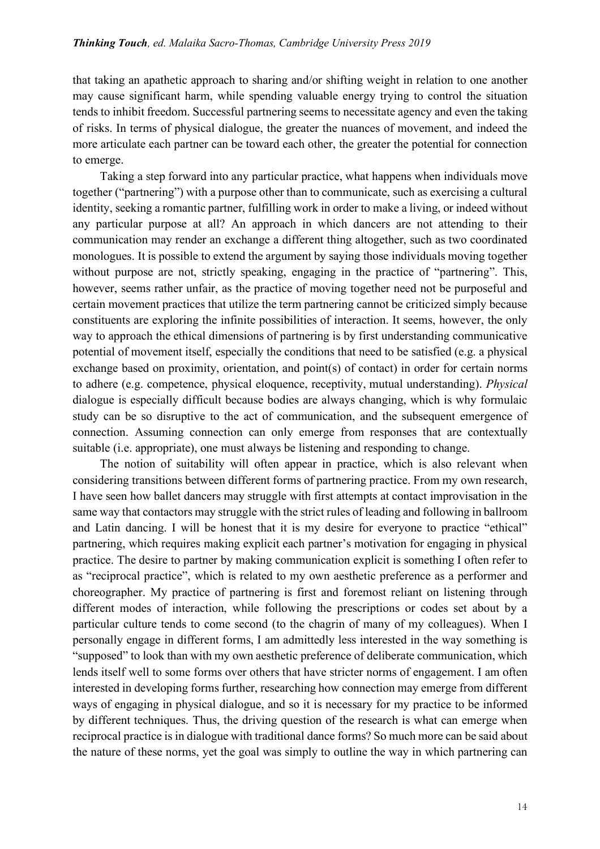that taking an apathetic approach to sharing and/or shifting weight in relation to one another may cause significant harm, while spending valuable energy trying to control the situation tends to inhibit freedom. Successful partnering seems to necessitate agency and even the taking of risks. In terms of physical dialogue, the greater the nuances of movement, and indeed the more articulate each partner can be toward each other, the greater the potential for connection to emerge.

Taking a step forward into any particular practice, what happens when individuals move together ("partnering") with a purpose other than to communicate, such as exercising a cultural identity, seeking a romantic partner, fulfilling work in order to make a living, or indeed without any particular purpose at all? An approach in which dancers are not attending to their communication may render an exchange a different thing altogether, such as two coordinated monologues. It is possible to extend the argument by saying those individuals moving together without purpose are not, strictly speaking, engaging in the practice of "partnering". This, however, seems rather unfair, as the practice of moving together need not be purposeful and certain movement practices that utilize the term partnering cannot be criticized simply because constituents are exploring the infinite possibilities of interaction. It seems, however, the only way to approach the ethical dimensions of partnering is by first understanding communicative potential of movement itself, especially the conditions that need to be satisfied (e.g. a physical exchange based on proximity, orientation, and point(s) of contact) in order for certain norms to adhere (e.g. competence, physical eloquence, receptivity, mutual understanding). *Physical* dialogue is especially difficult because bodies are always changing, which is why formulaic study can be so disruptive to the act of communication, and the subsequent emergence of connection. Assuming connection can only emerge from responses that are contextually suitable (i.e. appropriate), one must always be listening and responding to change.

The notion of suitability will often appear in practice, which is also relevant when considering transitions between different forms of partnering practice. From my own research, I have seen how ballet dancers may struggle with first attempts at contact improvisation in the same way that contactors may struggle with the strict rules of leading and following in ballroom and Latin dancing. I will be honest that it is my desire for everyone to practice "ethical" partnering, which requires making explicit each partner's motivation for engaging in physical practice. The desire to partner by making communication explicit is something I often refer to as "reciprocal practice", which is related to my own aesthetic preference as a performer and choreographer. My practice of partnering is first and foremost reliant on listening through different modes of interaction, while following the prescriptions or codes set about by a particular culture tends to come second (to the chagrin of many of my colleagues). When I personally engage in different forms, I am admittedly less interested in the way something is "supposed" to look than with my own aesthetic preference of deliberate communication, which lends itself well to some forms over others that have stricter norms of engagement. I am often interested in developing forms further, researching how connection may emerge from different ways of engaging in physical dialogue, and so it is necessary for my practice to be informed by different techniques. Thus, the driving question of the research is what can emerge when reciprocal practice is in dialogue with traditional dance forms? So much more can be said about the nature of these norms, yet the goal was simply to outline the way in which partnering can